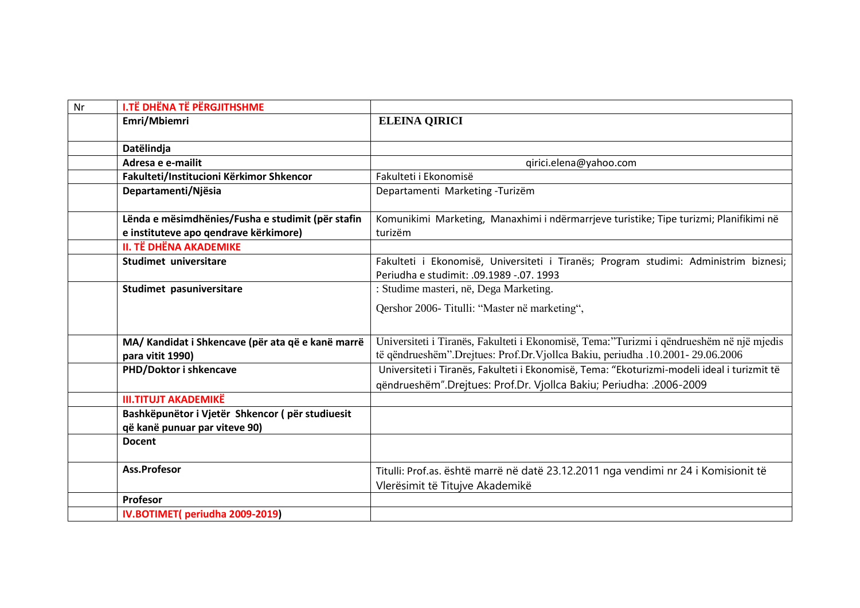| Nr | <b>I.TË DHËNA TË PËRGJITHSHME</b>                                     |                                                                                             |
|----|-----------------------------------------------------------------------|---------------------------------------------------------------------------------------------|
|    | Emri/Mbiemri                                                          | <b>ELEINA QIRICI</b>                                                                        |
|    |                                                                       |                                                                                             |
|    | Datëlindja                                                            |                                                                                             |
|    | Adresa e e-mailit                                                     | qirici.elena@yahoo.com                                                                      |
|    | Fakulteti/Institucioni Kërkimor Shkencor                              | Fakulteti i Ekonomisë                                                                       |
|    | Departamenti/Njësia                                                   | Departamenti Marketing -Turizëm                                                             |
|    |                                                                       |                                                                                             |
|    | Lënda e mësimdhënies/Fusha e studimit (për stafin                     | Komunikimi Marketing, Manaxhimi i ndërmarrjeve turistike; Tipe turizmi; Planifikimi në      |
|    | e instituteve apo qendrave kërkimore)                                 | turizëm                                                                                     |
|    | <b>II. TË DHËNA AKADEMIKE</b>                                         |                                                                                             |
|    | Studimet universitare                                                 | Fakulteti i Ekonomisë, Universiteti i Tiranës; Program studimi: Administrim biznesi;        |
|    |                                                                       | Periudha e studimit: .09.1989 -.07. 1993                                                    |
|    | Studimet pasuniversitare                                              | : Studime masteri, në, Dega Marketing.                                                      |
|    |                                                                       | Qershor 2006- Titulli: "Master në marketing",                                               |
|    |                                                                       |                                                                                             |
|    |                                                                       | Universiteti i Tiranës, Fakulteti i Ekonomisë, Tema:"Turizmi i qëndrueshëm në një mjedis    |
|    | MA/ Kandidat i Shkencave (për ata që e kanë marrë<br>para vitit 1990) | të qëndrueshëm".Drejtues: Prof.Dr.Vjollca Bakiu, periudha .10.2001- 29.06.2006              |
|    |                                                                       | Universiteti i Tiranës, Fakulteti i Ekonomisë, Tema: "Ekoturizmi-modeli ideal i turizmit të |
|    | PHD/Doktor i shkencave                                                |                                                                                             |
|    |                                                                       | qëndrueshëm".Drejtues: Prof.Dr. Vjollca Bakiu; Periudha: .2006-2009                         |
|    | <b>III.TITUJT AKADEMIKË</b>                                           |                                                                                             |
|    | Bashkëpunëtor i Vjetër Shkencor (për studiuesit                       |                                                                                             |
|    | që kanë punuar par viteve 90)                                         |                                                                                             |
|    | <b>Docent</b>                                                         |                                                                                             |
|    |                                                                       |                                                                                             |
|    | Ass.Profesor                                                          | Titulli: Prof.as. është marrë në datë 23.12.2011 nga vendimi nr 24 i Komisionit të          |
|    |                                                                       | Vlerësimit të Titujve Akademikë                                                             |
|    | Profesor                                                              |                                                                                             |
|    | IV.BOTIMET(periudha 2009-2019)                                        |                                                                                             |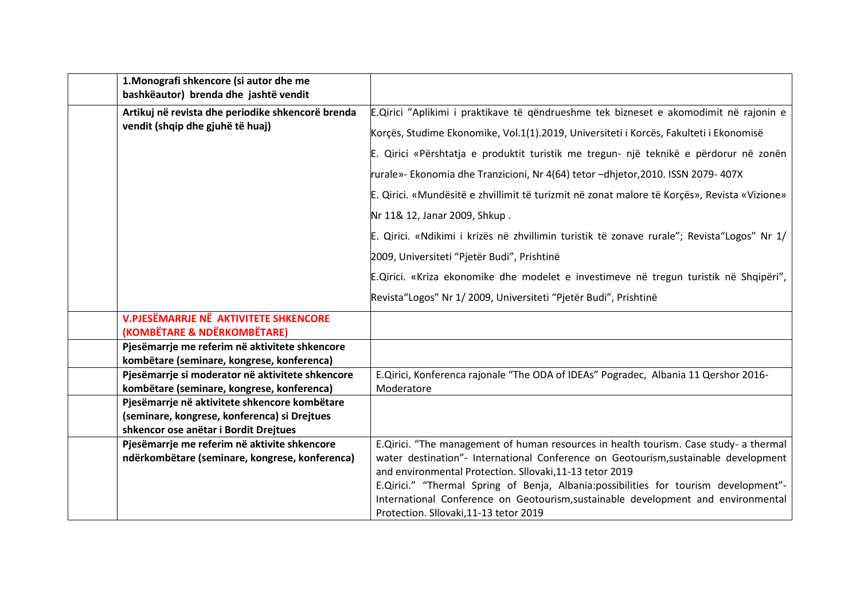| 1. Monografi shkencore (si autor dhe me<br>bashkëautor) brenda dhe jashtë vendit              |                                                                                              |
|-----------------------------------------------------------------------------------------------|----------------------------------------------------------------------------------------------|
| Artikuj në revista dhe periodike shkencorë brenda                                             | E.Qirici "Aplikimi i praktikave të qëndrueshme tek bizneset e akomodimit në rajonin e        |
| vendit (shqip dhe gjuhë të huaj)                                                              | Korçës, Studime Ekonomike, Vol.1(1).2019, Universiteti i Korcës, Fakulteti i Ekonomisë       |
|                                                                                               | E. Qirici «Përshtatja e produktit turistik me tregun- një teknikë e përdorur në zonën        |
|                                                                                               | rurale»- Ekonomia dhe Tranzicioni, Nr 4(64) tetor -dhjetor,2010. ISSN 2079- 407X             |
|                                                                                               | E. Qirici. «Mundësitë e zhvillimit të turizmit në zonat malore të Korçës», Revista «Vizione» |
|                                                                                               | Nr 11& 12, Janar 2009, Shkup.                                                                |
|                                                                                               | E. Qirici. «Ndikimi i krizës në zhvillimin turistik të zonave rurale"; Revista"Logos" Nr 1/  |
|                                                                                               | 2009, Universiteti "Pjetër Budi", Prishtinë                                                  |
|                                                                                               | E.Qirici. «Kriza ekonomike dhe modelet e investimeve në tregun turistik në Shqipëri",        |
|                                                                                               | Revista"Logos" Nr 1/2009, Universiteti "Pjetër Budi", Prishtinë                              |
| <b>V.PJESËMARRJE NË AKTIVITETE SHKENCORE</b><br>(KOMBËTARE & NDËRKOMBËTARE)                   |                                                                                              |
| Pjesëmarrje me referim në aktivitete shkencore                                                |                                                                                              |
| kombëtare (seminare, kongrese, konferenca)                                                    |                                                                                              |
| Pjesëmarrje si moderator në aktivitete shkencore                                              | E.Qirici, Konferenca rajonale "The ODA of IDEAs" Pogradec, Albania 11 Qershor 2016-          |
| kombëtare (seminare, kongrese, konferenca)                                                    | Moderatore                                                                                   |
| Pjesëmarrje në aktivitete shkencore kombëtare<br>(seminare, kongrese, konferenca) si Drejtues |                                                                                              |
| shkencor ose anëtar i Bordit Drejtues                                                         |                                                                                              |
| Pjesëmarrje me referim në aktivite shkencore                                                  | E.Qirici. "The management of human resources in health tourism. Case study- a thermal        |
| ndërkombëtare (seminare, kongrese, konferenca)                                                | water destination"- International Conference on Geotourism, sustainable development          |
|                                                                                               | and environmental Protection. Sllovaki, 11-13 tetor 2019                                     |
|                                                                                               | E.Qirici." "Thermal Spring of Benja, Albania:possibilities for tourism development"-         |
|                                                                                               | International Conference on Geotourism, sustainable development and environmental            |
|                                                                                               | Protection. Sllovaki, 11-13 tetor 2019                                                       |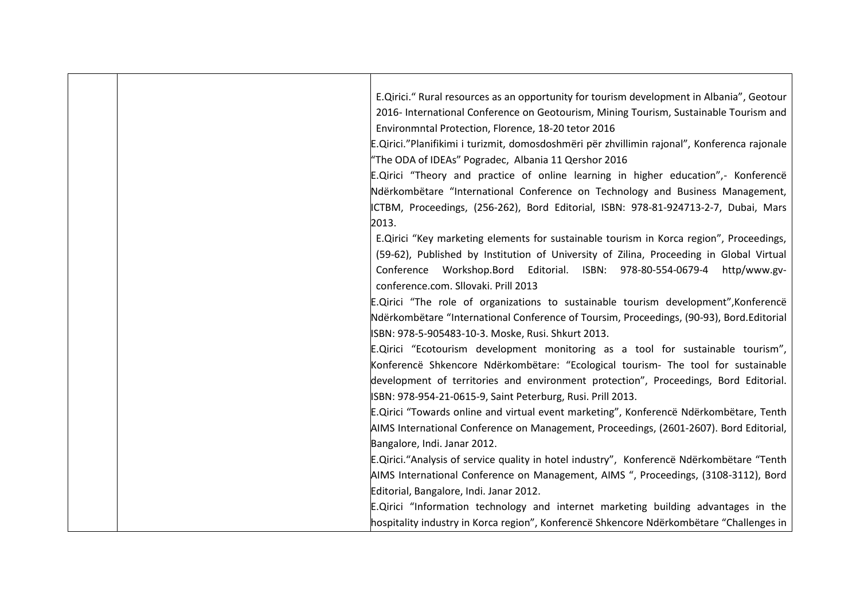| E.Qirici." Rural resources as an opportunity for tourism development in Albania", Geotour    |
|----------------------------------------------------------------------------------------------|
|                                                                                              |
| 2016- International Conference on Geotourism, Mining Tourism, Sustainable Tourism and        |
|                                                                                              |
|                                                                                              |
| E.Qirici."Planifikimi i turizmit, domosdoshmëri për zhvillimin rajonal", Konferenca rajonale |
|                                                                                              |
| E.Qirici "Theory and practice of online learning in higher education",- Konference           |
| Ndërkombëtare "International Conference on Technology and Business Management,               |
| ICTBM, Proceedings, (256-262), Bord Editorial, ISBN: 978-81-924713-2-7, Dubai, Mars          |
|                                                                                              |
| E. Qirici "Key marketing elements for sustainable tourism in Korca region", Proceedings,     |
| (59-62), Published by Institution of University of Zilina, Proceeding in Global Virtual      |
| Conference Workshop.Bord Editorial. ISBN: 978-80-554-0679-4 http/www.gv-                     |
|                                                                                              |
| E.Qirici "The role of organizations to sustainable tourism development", Konferencë          |
| Ndërkombëtare "International Conference of Toursim, Proceedings, (90-93), Bord.Editorial     |
|                                                                                              |
| E.Qirici "Ecotourism development monitoring as a tool for sustainable tourism",              |
| Konferencë Shkencore Ndërkombëtare: "Ecological tourism- The tool for sustainable            |
| development of territories and environment protection", Proceedings, Bord Editorial.         |
|                                                                                              |
| E.Qirici "Towards online and virtual event marketing", Konferencë Ndërkombëtare, Tenth       |
| AIMS International Conference on Management, Proceedings, (2601-2607). Bord Editorial,       |
|                                                                                              |
| E.Qirici."Analysis of service quality in hotel industry", Konferencë Ndërkombëtare "Tenth    |
| AIMS International Conference on Management, AIMS ", Proceedings, (3108-3112), Bord          |
|                                                                                              |
| E.Qirici "Information technology and internet marketing building advantages in the           |
| hospitality industry in Korca region", Konferencë Shkencore Ndërkombëtare "Challenges in     |
|                                                                                              |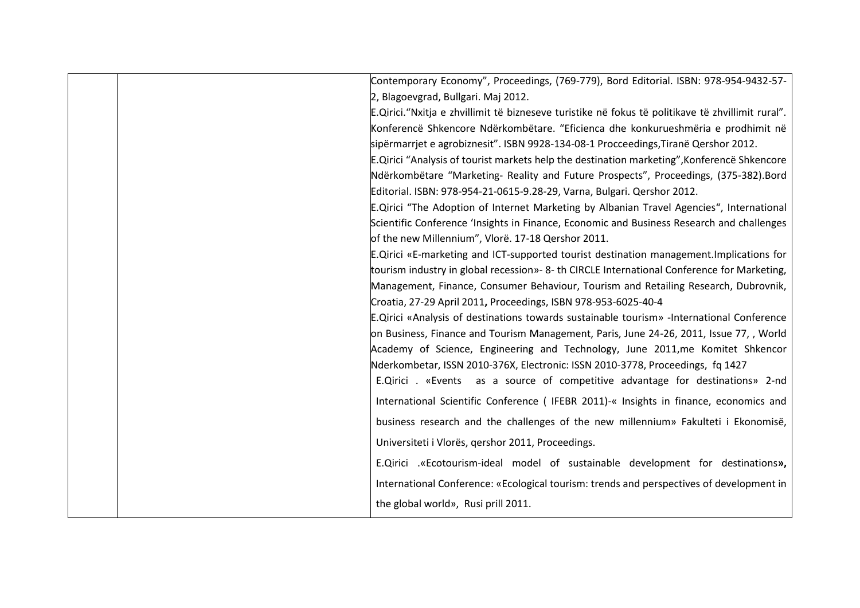|  | Contemporary Economy", Proceedings, (769-779), Bord Editorial. ISBN: 978-954-9432-57-              |
|--|----------------------------------------------------------------------------------------------------|
|  | 2, Blagoevgrad, Bullgari. Maj 2012.                                                                |
|  | E.Qirici. "Nxitja e zhvillimit të bizneseve turistike në fokus të politikave të zhvillimit rural". |
|  | Konferencë Shkencore Ndërkombëtare. "Eficienca dhe konkurueshmëria e prodhimit në                  |
|  | sipërmarrjet e agrobiznesit". ISBN 9928-134-08-1 Procceedings, Tiranë Qershor 2012.                |
|  | E.Qirici "Analysis of tourist markets help the destination marketing", Konferencë Shkencore        |
|  | Ndërkombëtare "Marketing- Reality and Future Prospects", Proceedings, (375-382).Bord               |
|  | Editorial. ISBN: 978-954-21-0615-9.28-29, Varna, Bulgari. Qershor 2012.                            |
|  | E.Qirici "The Adoption of Internet Marketing by Albanian Travel Agencies", International           |
|  | Scientific Conference 'Insights in Finance, Economic and Business Research and challenges          |
|  | of the new Millennium", Vlorë. 17-18 Qershor 2011.                                                 |
|  | E.Qirici «E-marketing and ICT-supported tourist destination management. Implications for           |
|  | tourism industry in global recession»- 8- th CIRCLE International Conference for Marketing,        |
|  | Management, Finance, Consumer Behaviour, Tourism and Retailing Research, Dubrovnik,                |
|  | Croatia, 27-29 April 2011, Proceedings, ISBN 978-953-6025-40-4                                     |
|  | E.Qirici «Analysis of destinations towards sustainable tourism» -International Conference          |
|  | on Business, Finance and Tourism Management, Paris, June 24-26, 2011, Issue 77, , World            |
|  | Academy of Science, Engineering and Technology, June 2011, me Komitet Shkencor                     |
|  | Nderkombetar, ISSN 2010-376X, Electronic: ISSN 2010-3778, Proceedings, fq 1427                     |
|  | E.Qirici . «Events as a source of competitive advantage for destinations» 2-nd                     |
|  | International Scientific Conference (IFEBR 2011)-« Insights in finance, economics and              |
|  | business research and the challenges of the new millennium» Fakulteti i Ekonomisë,                 |
|  | Universiteti i Vlorës, qershor 2011, Proceedings.                                                  |
|  | E.Qirici .«Ecotourism-ideal model of sustainable development for destinations»,                    |
|  | International Conference: «Ecological tourism: trends and perspectives of development in           |
|  | the global world», Rusi prill 2011.                                                                |
|  |                                                                                                    |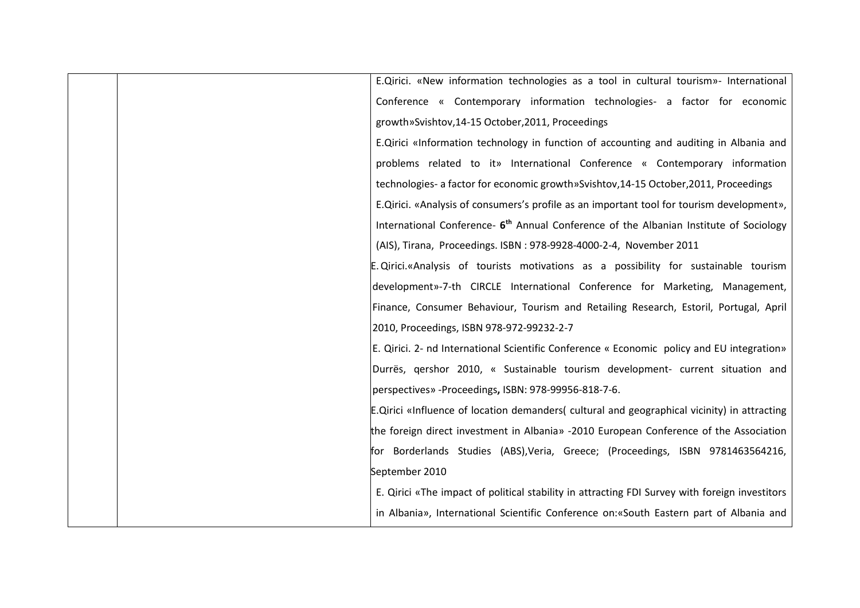| E.Qirici. «New information technologies as a tool in cultural tourism»- International              |
|----------------------------------------------------------------------------------------------------|
| Conference « Contemporary information technologies- a factor for economic                          |
| growth»Svishtov,14-15 October,2011, Proceedings                                                    |
| E.Qirici «Information technology in function of accounting and auditing in Albania and             |
| problems related to it» International Conference « Contemporary information                        |
| technologies- a factor for economic growth»Svishtov,14-15 October,2011, Proceedings                |
| E.Qirici. «Analysis of consumers's profile as an important tool for tourism development»,          |
| International Conference- 6 <sup>th</sup> Annual Conference of the Albanian Institute of Sociology |
| (AIS), Tirana, Proceedings. ISBN: 978-9928-4000-2-4, November 2011                                 |
| E. Qirici.«Analysis of tourists motivations as a possibility for sustainable tourism               |
| development»-7-th CIRCLE International Conference for Marketing, Management,                       |
| Finance, Consumer Behaviour, Tourism and Retailing Research, Estoril, Portugal, April              |
| 2010, Proceedings, ISBN 978-972-99232-2-7                                                          |
| E. Qirici. 2- nd International Scientific Conference « Economic policy and EU integration»         |
| Durrës, qershor 2010, « Sustainable tourism development- current situation and                     |
| perspectives» - Proceedings, ISBN: 978-99956-818-7-6.                                              |
| E.Qirici «Influence of location demanders( cultural and geographical vicinity) in attracting       |
| the foreign direct investment in Albania» -2010 European Conference of the Association             |
| for Borderlands Studies (ABS), Veria, Greece; (Proceedings, ISBN 9781463564216,                    |
| September 2010                                                                                     |
| E. Qirici «The impact of political stability in attracting FDI Survey with foreign investitors     |
| in Albania», International Scientific Conference on: «South Eastern part of Albania and            |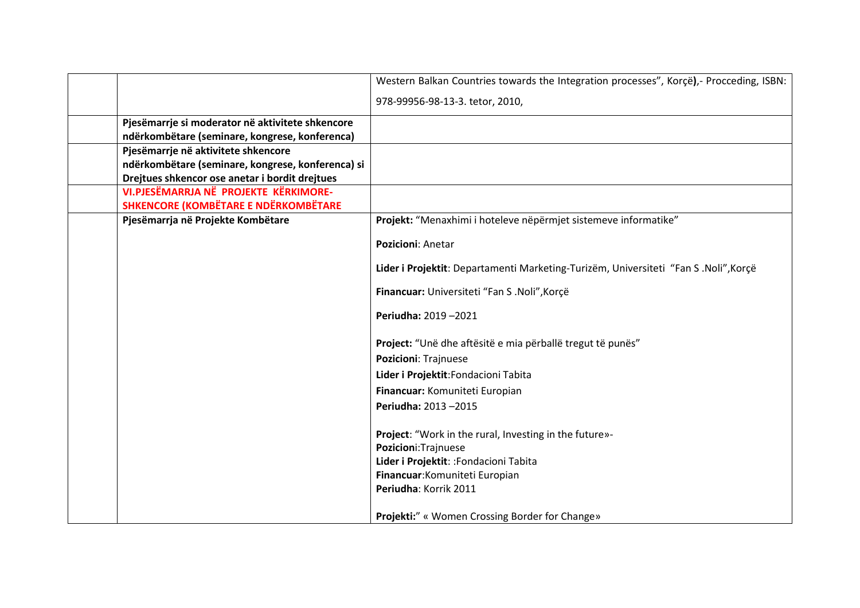|                                                   | Western Balkan Countries towards the Integration processes", Korçë),- Procceding, ISBN: |
|---------------------------------------------------|-----------------------------------------------------------------------------------------|
|                                                   | 978-99956-98-13-3. tetor, 2010,                                                         |
| Pjesëmarrje si moderator në aktivitete shkencore  |                                                                                         |
| ndërkombëtare (seminare, kongrese, konferenca)    |                                                                                         |
| Pjesëmarrje në aktivitete shkencore               |                                                                                         |
| ndërkombëtare (seminare, kongrese, konferenca) si |                                                                                         |
| Drejtues shkencor ose anetar i bordit drejtues    |                                                                                         |
| VI.PJESËMARRJA NË PROJEKTE KËRKIMORE-             |                                                                                         |
| <b>SHKENCORE (KOMBËTARE E NDËRKOMBËTARE</b>       |                                                                                         |
| Pjesëmarrja në Projekte Kombëtare                 | Projekt: "Menaxhimi i hoteleve nëpërmjet sistemeve informatike"                         |
|                                                   | Pozicioni: Anetar                                                                       |
|                                                   | Lider i Projektit: Departamenti Marketing-Turizëm, Universiteti "Fan S .Noli", Korçë    |
|                                                   | Financuar: Universiteti "Fan S .Noli", Korçë                                            |
|                                                   | Periudha: 2019-2021                                                                     |
|                                                   | Project: "Unë dhe aftësitë e mia përballë tregut të punës"                              |
|                                                   | <b>Pozicioni: Trajnuese</b>                                                             |
|                                                   | Lider i Projektit: Fondacioni Tabita                                                    |
|                                                   | Financuar: Komuniteti Europian                                                          |
|                                                   | Periudha: 2013-2015                                                                     |
|                                                   | Project: "Work in the rural, Investing in the future»-                                  |
|                                                   | Pozicioni: Trajnuese                                                                    |
|                                                   | Lider i Projektit: : Fondacioni Tabita                                                  |
|                                                   | Financuar: Komuniteti Europian                                                          |
|                                                   | Periudha: Korrik 2011                                                                   |
|                                                   | Projekti:" « Women Crossing Border for Change»                                          |